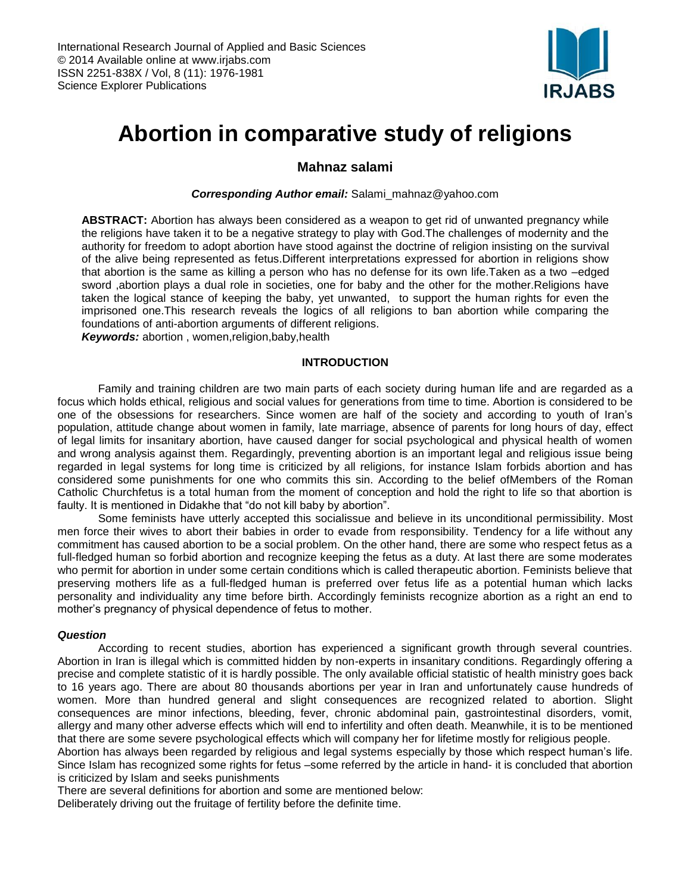

# **Abortion in comparative study of religions**

# **Mahnaz salami**

#### *Corresponding Author email:* Salami\_mahnaz@yahoo.com

**ABSTRACT:** Abortion has always been considered as a weapon to get rid of unwanted pregnancy while the religions have taken it to be a negative strategy to play with God.The challenges of modernity and the authority for freedom to adopt abortion have stood against the doctrine of religion insisting on the survival of the alive being represented as fetus.Different interpretations expressed for abortion in religions show that abortion is the same as killing a person who has no defense for its own life.Taken as a two –edged sword ,abortion plays a dual role in societies, one for baby and the other for the mother.Religions have taken the logical stance of keeping the baby, yet unwanted, to support the human rights for even the imprisoned one.This research reveals the logics of all religions to ban abortion while comparing the foundations of anti-abortion arguments of different religions.

*Keywords:* abortion , women,religion,baby,health

# **INTRODUCTION**

Family and training children are two main parts of each society during human life and are regarded as a focus which holds ethical, religious and social values for generations from time to time. Abortion is considered to be one of the obsessions for researchers. Since women are half of the society and according to youth of Iran's population, attitude change about women in family, late marriage, absence of parents for long hours of day, effect of legal limits for insanitary abortion, have caused danger for social psychological and physical health of women and wrong analysis against them. Regardingly, preventing abortion is an important legal and religious issue being regarded in legal systems for long time is criticized by all religions, for instance Islam forbids abortion and has considered some punishments for one who commits this sin. According to the belief ofMembers of the Roman Catholic Churchfetus is a total human from the moment of conception and hold the right to life so that abortion is faulty. It is mentioned in Didakhe that "do not kill baby by abortion".

Some feminists have utterly accepted this socialissue and believe in its unconditional permissibility. Most men force their wives to abort their babies in order to evade from responsibility. Tendency for a life without any commitment has caused abortion to be a social problem. On the other hand, there are some who respect fetus as a full-fledged human so forbid abortion and recognize keeping the fetus as a duty. At last there are some moderates who permit for abortion in under some certain conditions which is called therapeutic abortion. Feminists believe that preserving mothers life as a full-fledged human is preferred over fetus life as a potential human which lacks personality and individuality any time before birth. Accordingly feminists recognize abortion as a right an end to mother's pregnancy of physical dependence of fetus to mother.

# *Question*

According to recent studies, abortion has experienced a significant growth through several countries. Abortion in Iran is illegal which is committed hidden by non-experts in insanitary conditions. Regardingly offering a precise and complete statistic of it is hardly possible. The only available official statistic of health ministry goes back to 16 years ago. There are about 80 thousands abortions per year in Iran and unfortunately cause hundreds of women. More than hundred general and slight consequences are recognized related to abortion. Slight consequences are minor infections, bleeding, fever, chronic abdominal pain, gastrointestinal disorders, vomit, allergy and many other adverse effects which will end to infertility and often death. Meanwhile, it is to be mentioned that there are some severe psychological effects which will company her for lifetime mostly for religious people.

Abortion has always been regarded by religious and legal systems especially by those which respect human's life. Since Islam has recognized some rights for fetus –some referred by the article in hand- it is concluded that abortion is criticized by Islam and seeks punishments

There are several definitions for abortion and some are mentioned below:

Deliberately driving out the fruitage of fertility before the definite time.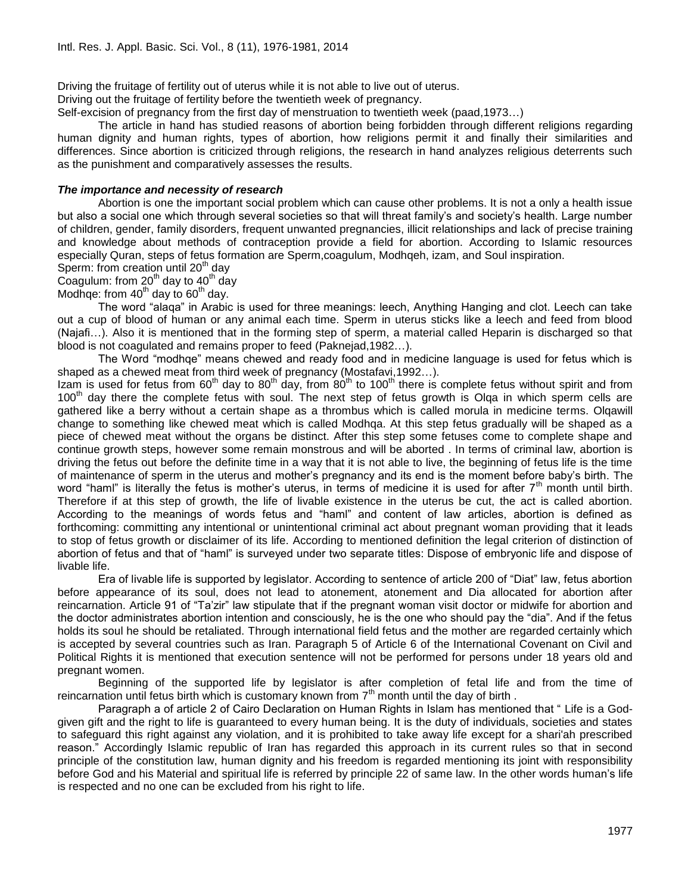Driving the fruitage of fertility out of uterus while it is not able to live out of uterus.

Driving out the fruitage of fertility before the twentieth week of pregnancy.

Self-excision of pregnancy from the first day of menstruation to twentieth week (paad,1973…)

The article in hand has studied reasons of abortion being forbidden through different religions regarding human dignity and human rights, types of abortion, how religions permit it and finally their similarities and differences. Since abortion is criticized through religions, the research in hand analyzes religious deterrents such as the punishment and comparatively assesses the results.

#### *The importance and necessity of research*

Abortion is one the important social problem which can cause other problems. It is not a only a health issue but also a social one which through several societies so that will threat family's and society's health. Large number of children, gender, family disorders, frequent unwanted pregnancies, illicit relationships and lack of precise training and knowledge about methods of contraception provide a field for abortion. According to Islamic resources especially Quran, steps of fetus formation are Sperm,coagulum, Modhqeh, izam, and Soul inspiration.

Sperm: from creation until 20<sup>th</sup> day

# Coagulum: from  $20<sup>th</sup>$  day to  $40<sup>th</sup>$  day

Modhqe: from  $40<sup>th</sup>$  day to  $60<sup>th</sup>$  day.

The word "alaqa" in Arabic is used for three meanings: leech, Anything Hanging and clot. Leech can take out a cup of blood of human or any animal each time. Sperm in uterus sticks like a leech and feed from blood (Najafi…). Also it is mentioned that in the forming step of sperm, a material called Heparin is discharged so that blood is not coagulated and remains proper to feed (Paknejad,1982…).

The Word "modhqe" means chewed and ready food and in medicine language is used for fetus which is shaped as a chewed meat from third week of pregnancy (Mostafavi,1992…).

Izam is used for fetus from 60<sup>th</sup> day to 80<sup>th</sup> day, from 80<sup>th</sup> to 100<sup>th</sup> there is complete fetus without spirit and from 100<sup>th</sup> day there the complete fetus with soul. The next step of fetus growth is Olga in which sperm cells are gathered like a berry without a certain shape as a thrombus which is called morula in medicine terms. Olqawill change to something like chewed meat which is called Modhqa. At this step fetus gradually will be shaped as a piece of chewed meat without the organs be distinct. After this step some fetuses come to complete shape and continue growth steps, however some remain monstrous and will be aborted . In terms of criminal law, abortion is driving the fetus out before the definite time in a way that it is not able to live, the beginning of fetus life is the time of maintenance of sperm in the uterus and mother's pregnancy and its end is the moment before baby's birth. The word "haml" is literally the fetus is mother's uterus, in terms of medicine it is used for after  $7<sup>th</sup>$  month until birth. Therefore if at this step of growth, the life of livable existence in the uterus be cut, the act is called abortion. According to the meanings of words fetus and "haml" and content of law articles, abortion is defined as forthcoming: committing any intentional or unintentional criminal act about pregnant woman providing that it leads to stop of fetus growth or disclaimer of its life. According to mentioned definition the legal criterion of distinction of abortion of fetus and that of "haml" is surveyed under two separate titles: Dispose of embryonic life and dispose of livable life.

Era of livable life is supported by legislator. According to sentence of article 200 of "Diat" law, fetus abortion before appearance of its soul, does not lead to atonement, atonement and Dia allocated for abortion after reincarnation. Article 91 of "Ta'zir" law stipulate that if the pregnant woman visit doctor or midwife for abortion and the doctor administrates abortion intention and consciously, he is the one who should pay the "dia". And if the fetus holds its soul he should be retaliated. Through international field fetus and the mother are regarded certainly which is accepted by several countries such as Iran. Paragraph 5 of Article 6 of the International Covenant on Civil and Political Rights it is mentioned that execution sentence will not be performed for persons under 18 years old and pregnant women.

Beginning of the supported life by legislator is after completion of fetal life and from the time of reincarnation until fetus birth which is customary known from  $7<sup>th</sup>$  month until the day of birth.

Paragraph a of article 2 of Cairo Declaration on Human Rights in Islam has mentioned that " Life is a Godgiven gift and the right to life is guaranteed to every human being. It is the duty of individuals, societies and states to safeguard this right against any violation, and it is prohibited to take away life except for a shari'ah prescribed reason." Accordingly Islamic republic of Iran has regarded this approach in its current rules so that in second principle of the constitution law, human dignity and his freedom is regarded mentioning its joint with responsibility before God and his Material and spiritual life is referred by principle 22 of same law. In the other words human's life is respected and no one can be excluded from his right to life.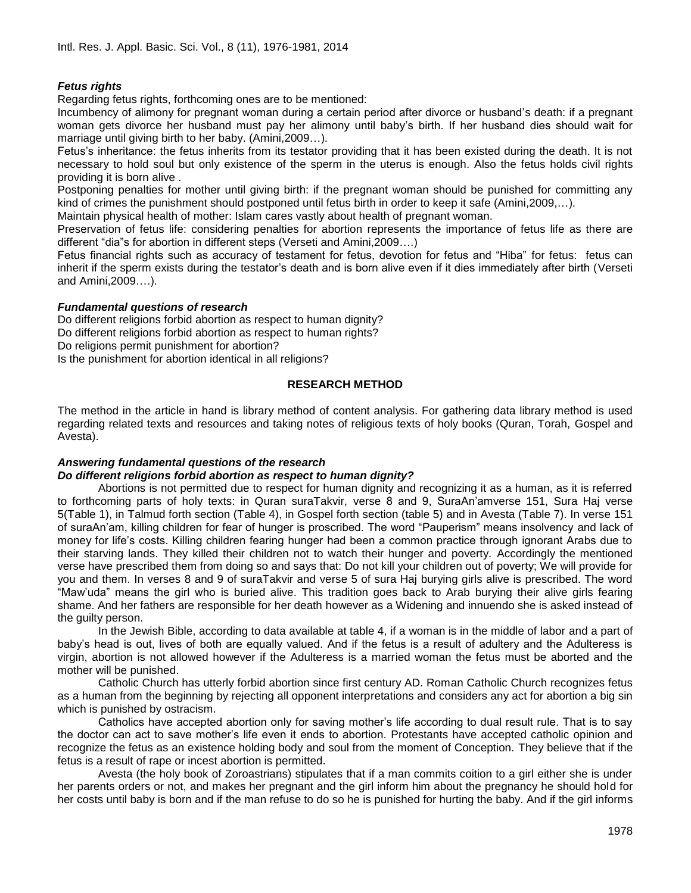# *Fetus rights*

Regarding fetus rights, forthcoming ones are to be mentioned:

Incumbency of alimony for pregnant woman during a certain period after divorce or husband's death: if a pregnant woman gets divorce her husband must pay her alimony until baby's birth. If her husband dies should wait for marriage until giving birth to her baby. (Amini,2009…).

Fetus's inheritance: the fetus inherits from its testator providing that it has been existed during the death. It is not necessary to hold soul but only existence of the sperm in the uterus is enough. Also the fetus holds civil rights providing it is born alive .

Postponing penalties for mother until giving birth: if the pregnant woman should be punished for committing any kind of crimes the punishment should postponed until fetus birth in order to keep it safe (Amini, 2009,...).

Maintain physical health of mother: Islam cares vastly about health of pregnant woman.

Preservation of fetus life: considering penalties for abortion represents the importance of fetus life as there are different "dia"s for abortion in different steps (Verseti and Amini,2009….)

Fetus financial rights such as accuracy of testament for fetus, devotion for fetus and "Hiba" for fetus: fetus can inherit if the sperm exists during the testator's death and is born alive even if it dies immediately after birth (Verseti and Amini,2009….).

# *Fundamental questions of research*

Do different religions forbid abortion as respect to human dignity? Do different religions forbid abortion as respect to human rights? Do religions permit punishment for abortion? Is the punishment for abortion identical in all religions?

# **RESEARCH METHOD**

The method in the article in hand is library method of content analysis. For gathering data library method is used regarding related texts and resources and taking notes of religious texts of holy books (Quran, Torah, Gospel and Avesta).

# *Answering fundamental questions of the research*

# *Do different religions forbid abortion as respect to human dignity?*

Abortions is not permitted due to respect for human dignity and recognizing it as a human, as it is referred to forthcoming parts of holy texts: in Quran suraTakvir, verse 8 and 9, SuraAn'amverse 151, Sura Haj verse 5(Table 1), in Talmud forth section (Table 4), in Gospel forth section (table 5) and in Avesta (Table 7). In verse 151 of suraAn'am, killing children for fear of hunger is proscribed. The word "Pauperism" means insolvency and lack of money for life's costs. Killing children fearing hunger had been a common practice through ignorant Arabs due to their starving lands. They killed their children not to watch their hunger and poverty. Accordingly the mentioned verse have prescribed them from doing so and says that: Do not kill your children out of poverty; We will provide for you and them. In verses 8 and 9 of suraTakvir and verse 5 of sura Haj burying girls alive is prescribed. The word "Maw'uda" means the girl who is buried alive. This tradition goes back to Arab burying their alive girls fearing shame. And her fathers are responsible for her death however as a Widening and innuendo she is asked instead of the guilty person.

In the Jewish Bible, according to data available at table 4, if a woman is in the middle of labor and a part of baby's head is out, lives of both are equally valued. And if the fetus is a result of adultery and the Adulteress is virgin, abortion is not allowed however if the Adulteress is a married woman the fetus must be aborted and the mother will be punished.

Catholic Church has utterly forbid abortion since first century AD. Roman Catholic Church recognizes fetus as a human from the beginning by rejecting all opponent interpretations and considers any act for abortion a big sin which is punished by ostracism.

Catholics have accepted abortion only for saving mother's life according to dual result rule. That is to say the doctor can act to save mother's life even it ends to abortion. Protestants have accepted catholic opinion and recognize the fetus as an existence holding body and soul from the moment of Conception. They believe that if the fetus is a result of rape or incest abortion is permitted.

Avesta (the holy book of Zoroastrians) stipulates that if a man commits coition to a girl either she is under her parents orders or not, and makes her pregnant and the girl inform him about the pregnancy he should hold for her costs until baby is born and if the man refuse to do so he is punished for hurting the baby. And if the girl informs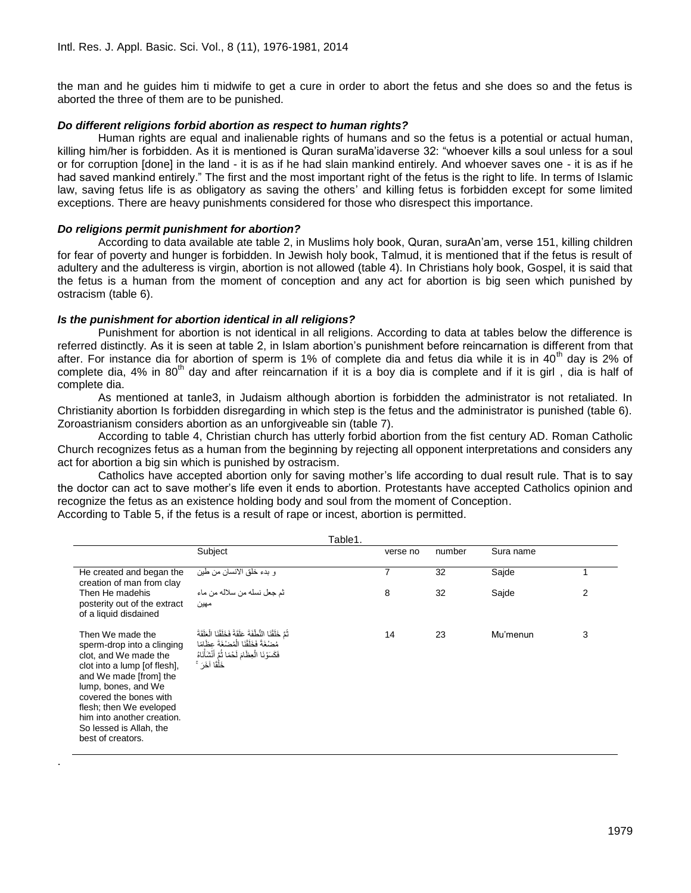the man and he guides him ti midwife to get a cure in order to abort the fetus and she does so and the fetus is aborted the three of them are to be punished.

# *Do different religions forbid abortion as respect to human rights?*

Human rights are equal and inalienable rights of humans and so the fetus is a potential or actual human, killing him/her is forbidden. As it is mentioned is Quran suraMa'idaverse 32: "whoever kills a soul unless for a soul or for corruption [done] in the land - it is as if he had slain mankind entirely. And whoever saves one - it is as if he had saved mankind entirely." The first and the most important right of the fetus is the right to life. In terms of Islamic law, saving fetus life is as obligatory as saving the others' and killing fetus is forbidden except for some limited exceptions. There are heavy punishments considered for those who disrespect this importance.

# *Do religions permit punishment for abortion?*

.

According to data available ate table 2, in Muslims holy book, Quran, suraAn'am, verse 151, killing children for fear of poverty and hunger is forbidden. In Jewish holy book, Talmud, it is mentioned that if the fetus is result of adultery and the adulteress is virgin, abortion is not allowed (table 4). In Christians holy book, Gospel, it is said that the fetus is a human from the moment of conception and any act for abortion is big seen which punished by ostracism (table 6).

# *Is the punishment for abortion identical in all religions?*

Punishment for abortion is not identical in all religions. According to data at tables below the difference is referred distinctly. As it is seen at table 2, in Islam abortion's punishment before reincarnation is different from that after. For instance dia for abortion of sperm is 1% of complete dia and fetus dia while it is in 40<sup>th</sup> day is 2% of complete dia, 4% in 80<sup>th</sup> day and after reincarnation if it is a boy dia is complete and if it is girl, dia is half of complete dia.

As mentioned at tanle3, in Judaism although abortion is forbidden the administrator is not retaliated. In Christianity abortion Is forbidden disregarding in which step is the fetus and the administrator is punished (table 6). Zoroastrianism considers abortion as an unforgiveable sin (table 7).

According to table 4, Christian church has utterly forbid abortion from the fist century AD. Roman Catholic Church recognizes fetus as a human from the beginning by rejecting all opponent interpretations and considers any act for abortion a big sin which is punished by ostracism.

Catholics have accepted abortion only for saving mother's life according to dual result rule. That is to say the doctor can act to save mother's life even it ends to abortion. Protestants have accepted Catholics opinion and recognize the fetus as an existence holding body and soul from the moment of Conception. According to Table 5, if the fetus is a result of rape or incest, abortion is permitted.

| Table1.                                                                                                                                                                                                                                                                                     |                                                                                                                                                                                     |          |        |           |   |  |  |  |  |  |
|---------------------------------------------------------------------------------------------------------------------------------------------------------------------------------------------------------------------------------------------------------------------------------------------|-------------------------------------------------------------------------------------------------------------------------------------------------------------------------------------|----------|--------|-----------|---|--|--|--|--|--|
|                                                                                                                                                                                                                                                                                             | Subject                                                                                                                                                                             | verse no | number | Sura name |   |  |  |  |  |  |
| He created and began the<br>creation of man from clay<br>Then He madehis<br>posterity out of the extract<br>of a liquid disdained                                                                                                                                                           | و بدء خلق الانسان من طين                                                                                                                                                            | 7        | 32     | Sajde     |   |  |  |  |  |  |
|                                                                                                                                                                                                                                                                                             | ڻم جعل نسله من سلاله من ماء<br>مهين                                                                                                                                                 | 8        | 32     | Sajde     | 2 |  |  |  |  |  |
| Then We made the<br>sperm-drop into a clinging<br>clot, and We made the<br>clot into a lump [of flesh],<br>and We made [from] the<br>lump, bones, and We<br>covered the bones with<br>flesh; then We eveloped<br>him into another creation.<br>So lessed is Allah, the<br>best of creators. | ثُّمَّ خَلَقْنَا النُّطْفَةَ عَلَقَةً فَخَلَقْنَا الْعَلَقَةَ<br>مُصْغَةً فَخَلَقْنَا الْمُصْغَةَ عظَامًا<br>فَكَسَوْ نَا الْعِظَامَ لَحْمًا ثُمَّ أَنْشَأْنَاهُ<br>خَلْقًا آخَرَ ۚ | 14       | 23     | Mu'menun  | 3 |  |  |  |  |  |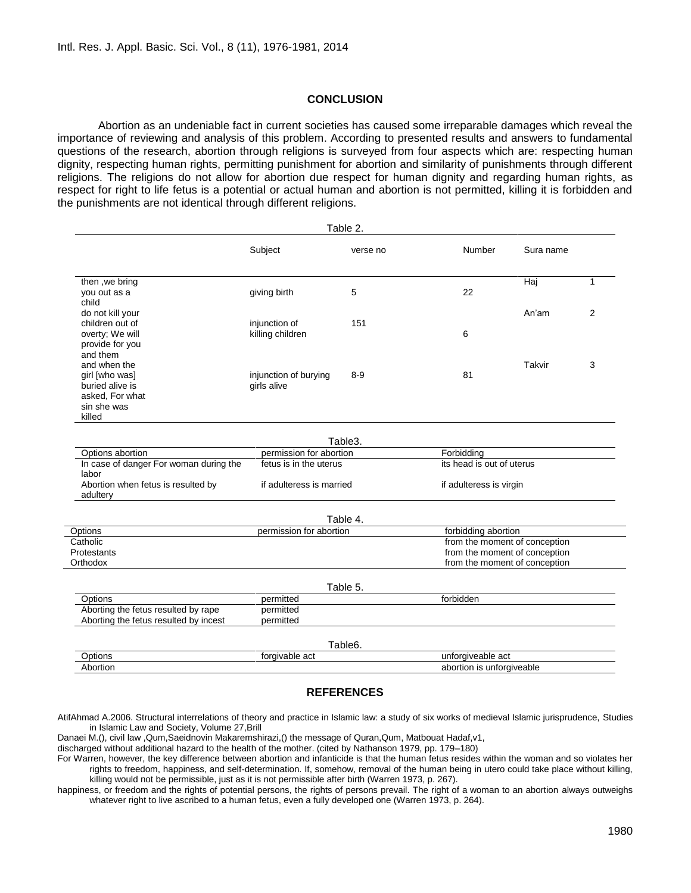# **CONCLUSION**

Abortion as an undeniable fact in current societies has caused some irreparable damages which reveal the importance of reviewing and analysis of this problem. According to presented results and answers to fundamental questions of the research, abortion through religions is surveyed from four aspects which are: respecting human dignity, respecting human rights, permitting punishment for abortion and similarity of punishments through different religions. The religions do not allow for abortion due respect for human dignity and regarding human rights, as respect for right to life fetus is a potential or actual human and abortion is not permitted, killing it is forbidden and the punishments are not identical through different religions.

|                                                                                                 |                                                   | Table 2. |                                                                |           |   |  |
|-------------------------------------------------------------------------------------------------|---------------------------------------------------|----------|----------------------------------------------------------------|-----------|---|--|
|                                                                                                 | Subject                                           | verse no | Number                                                         | Sura name |   |  |
| then, we bring<br>you out as a<br>child                                                         | giving birth                                      | 5        | 22                                                             | Haj       | 1 |  |
| do not kill your<br>children out of<br>overty; We will<br>provide for you                       | injunction of<br>killing children                 | 151      | 6                                                              | An'am     | 2 |  |
| and them<br>and when the<br>girl [who was]<br>buried alive is<br>asked, For what<br>sin she was | injunction of burying<br>girls alive              | $8-9$    | 81                                                             | Takvir    | 3 |  |
| killed                                                                                          |                                                   |          |                                                                |           |   |  |
|                                                                                                 |                                                   | Table3.  |                                                                |           |   |  |
| Options abortion<br>In case of danger For woman during the<br>labor                             | permission for abortion<br>fetus is in the uterus |          | Forbidding<br>its head is out of uterus                        |           |   |  |
| Abortion when fetus is resulted by<br>adultery                                                  | if adulteress is married                          |          | if adulteress is virgin                                        |           |   |  |
|                                                                                                 |                                                   | Table 4. |                                                                |           |   |  |
| permission for abortion<br>Options                                                              |                                                   |          | forbidding abortion                                            |           |   |  |
| Catholic                                                                                        |                                                   |          | from the moment of conception                                  |           |   |  |
| Protestants<br>Orthodox                                                                         |                                                   |          | from the moment of conception<br>from the moment of conception |           |   |  |
|                                                                                                 |                                                   | Table 5. |                                                                |           |   |  |
| Options                                                                                         | permitted                                         |          | forbidden                                                      |           |   |  |
| Aborting the fetus resulted by rape<br>Aborting the fetus resulted by incest                    | permitted<br>permitted                            |          |                                                                |           |   |  |
|                                                                                                 |                                                   | Table6.  |                                                                |           |   |  |
| Options                                                                                         | forgivable act                                    |          | unforgiveable act                                              |           |   |  |
| Abortion                                                                                        |                                                   |          | abortion is unforgiveable                                      |           |   |  |

# **REFERENCES**

AtifAhmad A.2006. Structural interrelations of theory and practice in Islamic law: a study of six works of medieval Islamic jurisprudence, Studies in Islamic Law and Society, Volume 27, Brill

Danaei M.(), civil law ,Qum,Saeidnovin Makaremshirazi,() the message of Quran,Qum, Matbouat Hadaf,v1,

discharged without additional hazard to the health of the mother. (cited by Nathanson 1979, pp. 179–180)

For Warren, however, the key difference between abortion and infanticide is that the human fetus resides within the woman and so violates her rights to freedom, happiness, and self-determination. If, somehow, removal of the human being in utero could take place without killing, killing would not be permissible, just as it is not permissible after birth (Warren 1973, p. 267).

happiness, or freedom and the rights of potential persons, the rights of persons prevail. The right of a woman to an abortion always outweighs whatever right to live ascribed to a human fetus, even a fully developed one (Warren 1973, p. 264).